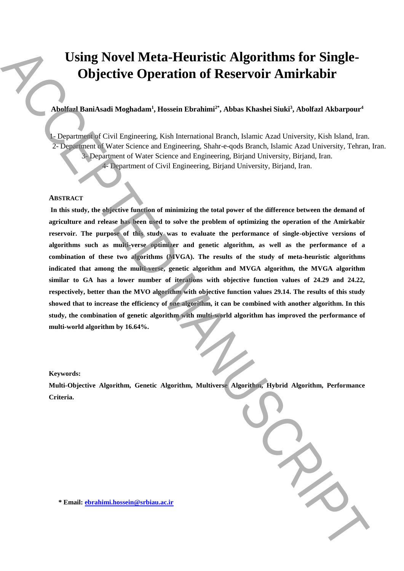# **Using Novel Meta-Heuristic Algorithms for Single-Objective Operation of Reservoir Amirkabir**

# **Abolfazl BaniAsadi Moghadam<sup>1</sup> , Hossein Ebrahimi2\* , Abbas Khashei Siuki<sup>3</sup> , Abolfazl Akbarpour<sup>4</sup>**

1- Department of Civil Engineering, Kish International Branch, Islamic Azad University, Kish Island, Iran. 2- Department of Water Science and Engineering, Shahr-e-qods Branch, Islamic Azad University, Tehran, Iran. 3- Department of Water Science and Engineering, Birjand University, Birjand, Iran. 4- Department of Civil Engineering, Birjand University, Birjand, Iran.

# **ABSTRACT**

**In this study, the objective function of minimizing the total power of the difference between the demand of agriculture and release has been used to solve the problem of optimizing the operation of the Amirkabir reservoir. The purpose of this study was to evaluate the performance of single-objective versions of algorithms such as multi-verse optimizer and genetic algorithm, as well as the performance of a combination of these two algorithms (MVGA). The results of the study of meta-heuristic algorithms indicated that among the multi-verse, genetic algorithm and MVGA algorithm, the MVGA algorithm similar to GA has a lower number of iterations with objective function values of 24.29 and 24.22, respectively, better than the MVO algorithm with objective function values 29.14. The results of this study showed that to increase the efficiency of one algorithm, it can be combined with another algorithm. In this study, the combination of genetic algorithm with multi-world algorithm has improved the performance of multi-world algorithm by 16.64%. Example 2018**<br> **Example 2018**<br> **Example 2018**<br> **Example 2018**<br> **Example 2018**<br> **Example 2018**<br> **Example 2018**<br> **Alternative 2018**<br> **Alternative 2018**<br> **Alternative 2018**<br> **Alternative 2018**<br> **Alternative 2018**<br> **Alternati** 

# **Keywords:**

**Multi-Objective Algorithm, Genetic Algorithm, Multiverse Algorithm, Hybrid Algorithm, Performance Criteria.**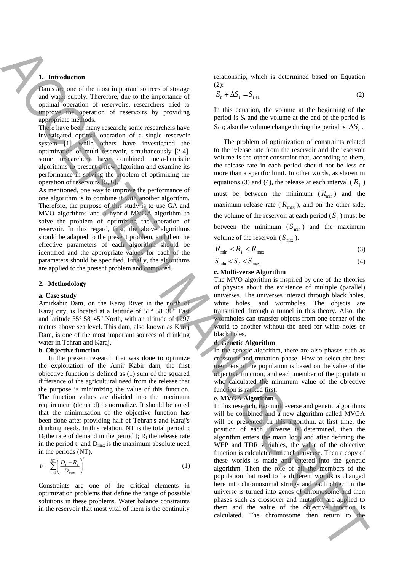# **1. Introduction**

Dams are one of the most important sources of storage and water supply. Therefore, due to the importance of optimal operation of reservoirs, researchers tried to improve the operation of reservoirs by providing appropriate methods.

There have been many research; some researchers have investigated optimal operation of a single reservoir system [1] while others have investigated the optimization of multi reservoir, simultaneously [2-4]. some researchers have combined meta-heuristic algorithms to present a new algorithm and examine its performance in solving the problem of optimizing the operation of reservoirs [5, 6].

As mentioned, one way to improve the performance of one algorithm is to combine it with another algorithm. Therefore, the purpose of this study is to use GA and MVO algorithms and a hybrid MVGA algorithm to solve the problem of optimizing the operation of reservoir. In this regard, first, the above algorithms should be adapted to the present problem, and then the effective parameters of each algorithm should be identified and the appropriate values for each of the parameters should be specified. Finally, the algorithms are applied to the present problem and compared.

#### **2. Methodology**

#### **a. Case study**

Amirkabir Dam, on the Karaj River in the north of Karaj city, is located at a latitude of 51° 58' 30" East and latitude 35° 58' 45" North, with an altitude of 1297 meters above sea level. This dam, also known as Karaj Dam, is one of the most important sources of drinking water in Tehran and Karaj.

#### **b. Objective function**

In the present research that was done to optimize the exploitation of the Amir Kabir dam, the first objective function is defined as (1) sum of the squared difference of the agricultural need from the release that the purpose is minimizing the value of this function. The function values are divided into the maximum requirement (demand) to normalize. It should be noted that the minimization of the objective function has been done after providing half of Tehran's and Karaj's drinking needs. In this relation, NT is the total period t;  $D_t$  the rate of demand in the period t;  $R_t$  the release rate in the period t; and  $D_{\text{max}}$  is the maximum absolute need in the periods (NT).

$$
F = \sum_{t=1}^{NT} \left( \frac{D_t - R_t}{D_{\text{max}}} \right)^2 \tag{1}
$$

Constraints are one of the critical elements in optimization problems that define the range of possible solutions in these problems. Water balance constraints in the reservoir that most vital of them is the continuity

relationship, which is determined based on Equation (2):

$$
S_t + \Delta S_t = S_{t+1}
$$
 (2)

In this equation, the volume at the beginning of the period is  $S_t$  and the volume at the end of the period is  $S_{t+1}$ ; also the volume change during the period is  $\Delta S_t$ .

The problem of optimization of constraints related to the release rate from the reservoir and the reservoir volume is the other constraint that, according to them, the release rate in each period should not be less or more than a specific limit. In other words, as shown in equations (3) and (4), the release at each interval ( $R_i$ ) must be between the minimum  $(R_{min})$  and the maximum release rate ( $R_{\text{max}}$ ), and on the other side, the volume of the reservoir at each period  $(S_i)$  must be between the minimum  $(S_{min})$  and the maximum volume of the reservoir  $(S_{\text{max}})$ .

$$
R_{\min} < R_i < R_{\max} \tag{3}
$$

$$
S_{\min} < S_i < S_{\max} \tag{4}
$$

### **c. Multi-verse Algorithm**

The MVO algorithm is inspired by one of the theories of physics about the existence of multiple (parallel) universes. The universes interact through black holes, white holes, and wormholes. The objects are transmitted through a tunnel in this theory. Also, the wormholes can transfer objects from one corner of the world to another without the need for white holes or black holes.

## **d. Genetic Algorithm**

In the genetic algorithm, there are also phases such as crossover and mutation phase. How to select the best members of the population is based on the value of the objective function, and each member of the population who calculated the minimum value of the objective function is ranked first.

## **e. MVGA Algorithm**

In this research, two multi-verse and genetic algorithms will be combined and a new algorithm called MVGA will be presented. In this algorithm, at first time, the position of each universe is determined, then the algorithm enters the main loop and after defining the WEP and TDR variables, the value of the objective function is calculated for each universe. Then a copy of these worlds is made and entered into the genetic algorithm. Then the role of all the members of the population that used to be different worlds is changed here into chromosomal strings and each object in the universe is turned into genes of chromosome and then phases such as crossover and mutation are applied to them and the value of the objective function is **Example the chromosome then return to the change of the chromosome then return to the chromosome the chromosome that is a state of the chromosome that is a state of the chromosome that is a state of the ACCEPTED MANUSCRI**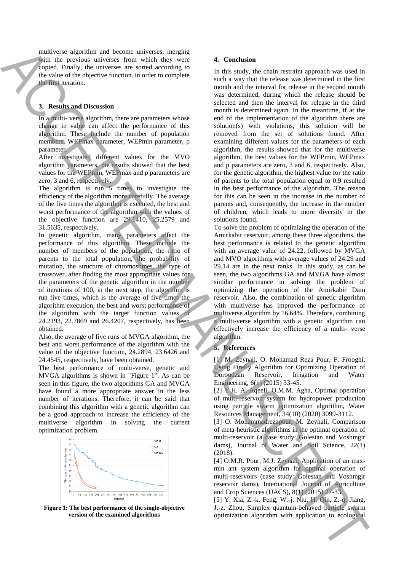multiverse algorithm and become universes, merging with the previous universes from which they were copied. Finally, the universes are sorted according to the value of the objective function. in order to complete the first iteration.

## **3. Results and Discussion**

In a multi- verse algorithm, there are parameters whose change in value can affect the performance of this algorithm. These include the number of population members, WEPmax parameter, WEPmin parameter, p parameter.

After investigated different values for the MVO algorithm parameters, the results showed that the best values for the WEPmin, WEPmax and p parameters are zero, 3 and 6, respectively.

The algorithm is run 5 times to investigate the efficiency of the algorithm more carefully. The average of the five times the algorithm is executed, the best and worst performance of the algorithm with the values of the objective function are 29.1410, 25.2579 and 31.5635, respectively.

In genetic algorithm, many parameters affect the performance of this algorithm. These include the number of members of the population, the ratio of parents to the total population, the probability of mutation, the structure of chromosomes, the type of crossover. after finding the most appropriate values for the parameters of the genetic algorithm in the number of iterations of 100, in the next step, the algorithm is run five times, which is the average of five times the algorithm execution, the best and worst performance of the algorithm with the target function values of 24.2193, 22.7869 and 26.4207, respectively, has been obtained.

Also, the average of five runs of MVGA algorithm, the best and worst performance of the algorithm with the value of the objective function, 24.2894, 23.6426 and 24.4545, respectively, have been obtained.

The best performance of multi-verse, genetic and MVGA algorithms is shown in "Figure 1". As can be seen in this figure, the two algorithms GA and MVGA have found a more appropriate answer in the less number of iterations. Therefore, it can be said that combining this algorithm with a genetic algorithm can be a good approach to increase the efficiency of the multiverse algorithm in solving the current optimization problem.



**Figure 1: The best performance of the single-objective version of the examined algorithms**

#### **4. Conclusion**

In this study, the chain restraint approach was used in such a way that the release was determined in the first month and the interval for release in the second month was determined, during which the release should be selected and then the interval for release in the third month is determined again. In the meantime, if at the end of the implementation of the algorithm there are solution(s) with violations, this solution will be removed from the set of solutions found. After examining different values for the parameters of each algorithm, the results showed that for the multiverse algorithm, the best values for the WEPmin, WEPmax and p parameters are zero, 3 and 6, respectively. Also, for the genetic algorithm, the highest value for the ratio of parents to the total population equal to 0.9 resulted in the best performance of the algorithm. The reason for this can be seen in the increase in the number of parents and, consequently, the increase in the number of children, which leads to more diversity in the solutions found. suppliers the applies through the continue of the state of the state of the state of the state of the state of the state of the state of the state of the state of the state of the state of the state of the state of the st

To solve the problem of optimizing the operation of the Amirkabir reservoir, among these three algorithms, the best performance is related to the genetic algorithm with an average value of 24.22, followed by MVGA and MVO algorithms with average values of 24.29 and 29.14 are in the next ranks. In this study, as can be seen, the two algorithms GA and MVGA have almost similar performance in solving the problem of optimizing the operation of the Amirkabir Dam reservoir. Also, the combination of genetic algorithm with multiverse has improved the performance of multiverse algorithm by 16.64%. Therefore, combining a multi-verse algorithm with a genetic algorithm can effectively increase the efficiency of a multi- verse algorithm.

#### **5. References**

[1] M. Zeynali, O. Mohamad Reza Pour, F. Frooghi, Using Firefly Algorithm for Optimizing Operation of Doroudzan Reservoir, Irrigation and Water Engineering, 6(1) (2015) 33-45.

[2] Y.H. Al-Aqeeli, O.M.M. Agha, Optimal operation of multi-reservoir system for hydropower production using particle swarm optimization algorithm, Water Resources Management, 34(10) (2020) 3099-3112.

[3] O. Mohammadrezapour, M. Zeynali, Comparison of meta-heuristic algorithms in the optimal operation of multi-reservoir (a case study: Golestan and Voshmgir dams), Journal of Water and Soil Science, 22(1) (2018).

[4] O.M.R. Pour, M.J. Zeynali, Application of an maxmin ant system algorithm for optimal operation of multi-reservoirs (case study: Golestan and Voshmgir reservoir dams), International Journal of Agriculture and Crop Sciences (IJACS), 8(1) (2015) 27-33.

[5] Y. Xia, Z.-k. Feng, W.-j. Niu, H. Qin, Z.-q. Jiang, J.-z. Zhou, Simplex quantum-behaved particle swarm